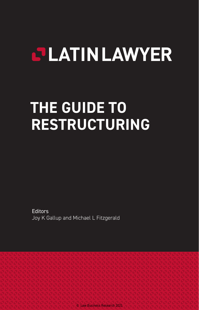# **CLATINLAWYER**

# **THE GUIDE TO RESTRUCTURING**

**Editors** Joy K Gallup and Michael L Fitzgerald

© Law Business Research 2021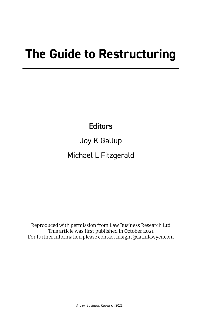# **The Guide to Restructuring**

**Editors** 

Joy K Gallup Michael L Fitzgerald

Reproduced with permission from Law Business Research Ltd This article was first published in October 2021 For further information please contact insight@latinlawyer.com

© Law Business Research 2021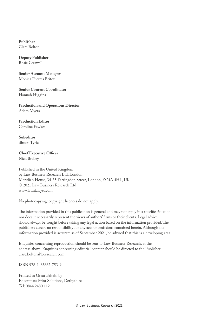**Publisher** Clare Bolton

**Deputy Publisher** Rosie Creswell

**Senior Account Manager** Monica Fuertes Britez

**Senior Content Coordinator** Hannah Higgins

**Production and Operations Director** Adam Myers

**Production Editor** Caroline Fewkes

**Subeditor** Simon Tyrie

#### **Chief Executive Officer** Nick Brailey

Published in the United Kingdom by Law Business Research Ltd, London Meridian House, 34-35 Farringdon Street, London, EC4A 4HL, UK © 2021 Law Business Research Ltd www.latinlawyer.com

No photocopying: copyright licences do not apply.

The information provided in this publication is general and may not apply in a specific situation, nor does it necessarily represent the views of authors' firms or their clients. Legal advice should always be sought before taking any legal action based on the information provided. The publishers accept no responsibility for any acts or omissions contained herein. Although the information provided is accurate as of September 2021, be advised that this is a developing area.

Enquiries concerning reproduction should be sent to Law Business Research, at the address above. Enquiries concerning editorial content should be directed to the Publisher – clare.bolton@lbresearch.com

ISBN 978-1-83862-753-9

Printed in Great Britain by Encompass Print Solutions, Derbyshire Tel: 0844 2480 112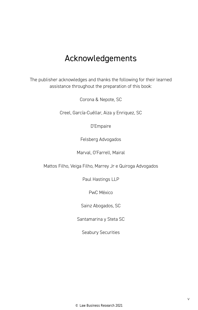## Acknowledgements

The publisher acknowledges and thanks the following for their learned assistance throughout the preparation of this book:

Corona & Nepote, SC

Creel, García-Cuéllar, Aiza y Enriquez, SC

D'Empaire

Felsberg Advogados

Marval, O'Farrell, Mairal

Mattos Filho, Veiga Filho, Marrey Jr e Quiroga Advogados

Paul Hastings LLP

PwC México

Sainz Abogados, SC

Santamarina y Steta SC

Seabury Securities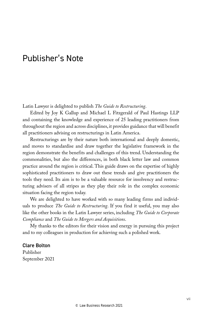### Publisher's Note

Latin Lawyer is delighted to publish *The Guide to Restructuring*.

Edited by Joy K Gallup and Michael L Fitzgerald of Paul Hastings LLP and containing the knowledge and experience of 25 leading practitioners from throughout the region and across disciplines, it provides guidance that will benefit all practitioners advising on restructurings in Latin America.

Restructurings are by their nature both international and deeply domestic, and moves to standardise and draw together the legislative framework in the region demonstrate the benefits and challenges of this trend. Understanding the commonalities, but also the differences, in both black letter law and common practice around the region is critical. This guide draws on the expertise of highly sophisticated practitioners to draw out these trends and give practitioners the tools they need. Its aim is to be a valuable resource for insolvency and restructuring advisers of all stripes as they play their role in the complex economic situation facing the region today.

We are delighted to have worked with so many leading firms and individuals to produce *The Guide to Restructuring*. If you find it useful, you may also like the other books in the Latin Lawyer series, including *The Guide to Corporate Compliance* and *The Guide to Mergers and Acquisitions*.

My thanks to the editors for their vision and energy in pursuing this project and to my colleagues in production for achieving such a polished work.

Clare Bolton Publisher September 2021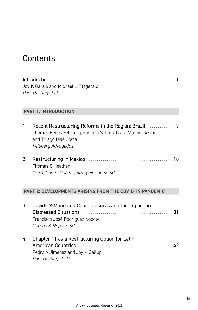### **Contents**

Introduction . . . . . . . . . . . . . . . . . . . . . . . . . . . . . . . . . . . . . . . . . . . . . . . . . . . . . . . . . . . . . 1 Joy K Gallup and Michael L Fitzgerald *Paul Hastings LLP*

#### **PART 1: INTRODUCTION**

|  | Recent Restructuring Reforms in the Region: Brazil          |
|--|-------------------------------------------------------------|
|  | Thomas Benes Felsberg, Fabiana Solano, Clara Moreira Azzoni |
|  | and Thiago Dias Costa                                       |
|  | Felsberg Advogados                                          |
|  |                                                             |

| Thomas S Heather                           |  |
|--------------------------------------------|--|
| Creel, García-Cuéllar, Aiza y Enriquez, SC |  |

#### **PART 2: DEVELOPMENTS ARISING FROM THE COVID-19 PANDEMIC**

| 3 | Covid-19-Mandated Court Closures and the Impact on |
|---|----------------------------------------------------|
|   |                                                    |
|   | Francisco José Rodríguez Nepote                    |
|   | Corona & Nepote, SC                                |
| 4 | Chapter 11 as a Restructuring Option for Latin     |
|   |                                                    |
|   | Pedro A Jimenez and Joy K Gallup                   |
|   | <b>Paul Hastings LLP</b>                           |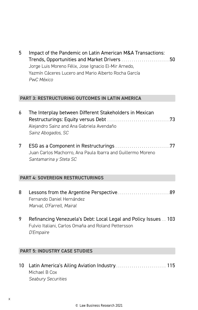| 5 | Impact of the Pandemic on Latin American M&A Transactions: |  |
|---|------------------------------------------------------------|--|
|   | Trends, Opportunities and Market Drivers 50                |  |
|   | Jorge Luis Moreno Félix, Jose Ignacio El-Mir Arnedo,       |  |
|   | Yazmín Cáceres Lucero and Mario Alberto Rocha García       |  |
|   | PwC México                                                 |  |

#### **PART 3: RESTRUCTURING OUTCOMES IN LATIN AMERICA**

| 6 The Interplay between Different Stakeholders in Mexican |  |
|-----------------------------------------------------------|--|
|                                                           |  |
| Alejandro Sainz and Ana Gabriela Avendaño                 |  |
| Sainz Abogados, SC                                        |  |

7 ESG as a Component in Restructurings . . . . . . . . . . . . . . . . . . . . . . . . . . 77 Juan Carlos Machorro, Ana Paula Ibarra and Guillermo Moreno *Santamarina y Steta SC*

#### **PART 4: SOVEREIGN RESTRUCTURINGS**

- 8 Lessons from the Argentine Perspective................................89 Fernando Daniel Hernández *Marval, O'Farrell, Mairal*
- 9 Refinancing Venezuela's Debt: Local Legal and Policy Issues . . 103 Fulvio Italiani, Carlos Omaña and Roland Pettersson *D'Empaire*

#### **PART 5: INDUSTRY CASE STUDIES**

10 Latin America's Ailing Aviation Industry . . . . . . . . . . . . . . . . . . . . . . . . . 115 Michael B Cox *Seabury Securities*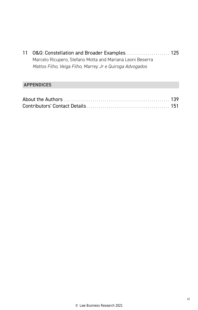11 O&G: Constellation and Broader Examples. . . . . . . . . . . . . . . . . . 125 Marcelo Ricupero, Stefano Motta and Mariana Leoni Beserra *Mattos Filho, Veiga Filho, Marrey Jr e Quiroga Advogados*

#### **APPENDICES**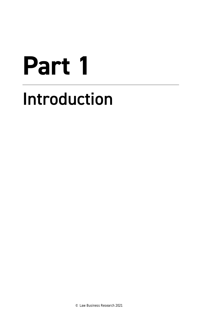# **Part 1** Introduction

© Law Business Research 2021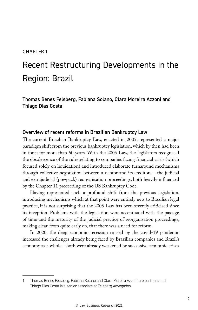#### CHAPTER 1

## Recent Restructuring Developments in the Region: Brazil

Thomas Benes Felsberg, Fabiana Solano, Clara Moreira Azzoni and Thiago Dias Costa<sup>1</sup>

#### Overview of recent reforms in Brazilian Bankruptcy Law

The current Brazilian Bankruptcy Law, enacted in 2005, represented a major paradigm shift from the previous bankruptcy legislation, which by then had been in force for more than 60 years. With the 2005 Law, the legislators recognised the obsolescence of the rules relating to companies facing financial crisis (which focused solely on liquidation) and introduced elaborate turnaround mechanisms through collective negotiation between a debtor and its creditors – the judicial and extrajudicial (pre-pack) reorganisation proceedings, both heavily influenced by the Chapter 11 proceeding of the US Bankruptcy Code.

Having represented such a profound shift from the previous legislation, introducing mechanisms which at that point were entirely new to Brazilian legal practice, it is not surprising that the 2005 Law has been severely criticised since its inception. Problems with the legislation were accentuated with the passage of time and the maturity of the judicial practice of reorganisation proceedings, making clear, from quite early on, that there was a need for reform.

In 2020, the deep economic recession caused by the covid-19 pandemic increased the challenges already being faced by Brazilian companies and Brazil's economy as a whole – both were already weakened by successive economic crises

<sup>1</sup> Thomas Benes Felsberg, Fabiana Solano and Clara Moreira Azzoni are partners and Thiago Dias Costa is a senior associate at Felsberg Advogados.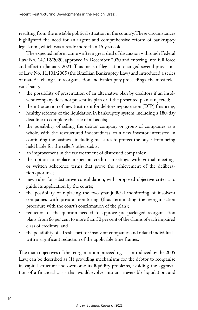resulting from the unstable political situation in the country. These circumstances highlighted the need for an urgent and comprehensive reform of bankruptcy legislation, which was already more than 15 years old.

The expected reform came – after a great deal of discussion – through Federal Law No. 14,112/2020, approved in December 2020 and entering into full force and effect in January 2021. This piece of legislation changed several provisions of Law No. 11,101/2005 (the Brazilian Bankruptcy Law) and introduced a series of material changes in reorganisation and bankruptcy proceedings, the most relevant being:

- the possibility of presentation of an alternative plan by creditors if an insolvent company does not present its plan or if the presented plan is rejected;
- the introduction of new treatment for debtor-in-possession (DIP) financing;
- healthy reforms of the liquidation in bankruptcy system, including a 180-day deadline to complete the sale of all assets;
- the possibility of selling the debtor company or group of companies as a whole, with the restructured indebtedness, to a new investor interested in continuing the business, including measures to protect the buyer from being held liable for the seller's other debts;
- an improvement in the tax treatment of distressed companies;
- the option to replace in-person creditor meetings with virtual meetings or written adherence terms that prove the achievement of the deliberation quorums;
- new rules for substantive consolidation, with proposed objective criteria to guide its application by the courts;
- the possibility of replacing the two-year judicial monitoring of insolvent companies with private monitoring (thus terminating the reorganisation procedure with the court's confirmation of the plan);
- reduction of the quorum needed to approve pre-packaged reorganisation plans, from 66 per cent to more than 50 per cent of the claims of each impaired class of creditors; and
- the possibility of a fresh start for insolvent companies and related individuals, with a significant reduction of the applicable time frames.

The main objectives of the reorganisation proceedings, as introduced by the 2005 Law, can be described as (1) providing mechanisms for the debtor to reorganise its capital structure and overcome its liquidity problems, avoiding the aggravation of a financial crisis that would evolve into an irreversible liquidation, and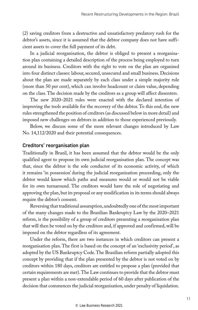(2) saving creditors from a destructive and unsatisfactory predatory rush for the debtor's assets, since it is assumed that the debtor company does not have sufficient assets to cover the full payment of its debt.

In a judicial reorganisation, the debtor is obliged to present a reorganisation plan containing a detailed description of the process being employed to turn around its business. Creditors with the right to vote on the plan are organised into four distinct classes: labour, secured, unsecured and small business. Decisions about the plan are made separately by each class under a simple majority rule (more than 50 per cent), which can involve headcount or claim value, depending on the class. The decision made by the creditors as a group will affect dissenters.

The new 2020–2021 rules were enacted with the declared intention of improving the tools available for the recovery of the debtor. To this end, the new rules strengthened the position of creditors (as discussed below in more detail) and imposed new challenges on debtors in addition to those experienced previously.

Below, we discuss some of the more relevant changes introduced by Law No. 14,112/2020 and their potential consequences.

#### Creditors' reorganisation plan

Traditionally in Brazil, it has been assumed that the debtor would be the only qualified agent to propose its own judicial reorganisation plan. The concept was that, since the debtor is the sole conductor of its economic activity, of which it remains 'in possession' during the judicial reorganisation proceeding, only the debtor would know which paths and measures would or would not be viable for its own turnaround. The creditors would have the role of negotiating and approving the plan, but its proposal or any modification in its terms should always require the debtor's consent.

Reversing that traditional assumption, undoubtedly one of the most important of the many changes made to the Brazilian Bankruptcy Law by the 2020–2021 reform, is the possibility of a group of creditors presenting a reorganisation plan that will then be voted on by the creditors and, if approved and confirmed, will be imposed on the debtor regardless of its agreement.

Under the reform, there are two instances in which creditors can present a reorganisation plan. The first is based on the concept of an 'exclusivity period', as adopted by the US Bankruptcy Code. The Brazilian reform partially adopted this concept by providing that if the plan presented by the debtor is not voted on by creditors within 180 days, creditors are entitled to propose a plan (provided that certain requirements are met). The Law continues to provide that the debtor must present a plan within a non-extendable period of 60 days after publication of the decision that commences the judicial reorganisation, under penalty of liquidation.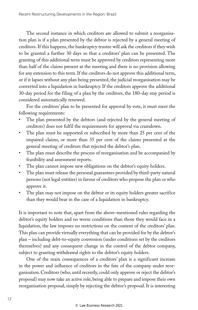The second instance in which creditors are allowed to submit a reorganisation plan is if a plan presented by the debtor is rejected by a general meeting of creditors. If this happens, the bankruptcy trustee will ask the creditors if they wish to be granted a further 30 days so that a creditors' plan can be presented. The granting of this additional term must be approved by creditors representing more than half of the claims present at the meeting and there is no provision allowing for any extension to this term. If the creditors do not approve this additional term, or if it lapses without any plan being presented, the judicial reorganisation may be converted into a liquidation in bankruptcy. If the creditors approve the additional 30-day period for the filing of a plan by the creditors, the 180-day stay period is considered automatically renewed.

For the creditors' plan to be presented for approval by vote, it must meet the following requirements:

- The plan presented by the debtors (and rejected by the general meeting of creditors) does not fulfil the requirements for approval via cramdown.
- The plan must be supported or subscribed by more than 25 per cent of the impaired claims, or more than 35 per cent of the claims presented at the general meeting of creditors that rejected the debtor's plan.
- The plan must describe the process of reorganisation and be accompanied by feasibility and assessment reports.
- The plan cannot impose new obligations on the debtor's equity holders.
- The plan must release the personal guarantees provided by third-party natural persons (not legal entities) in favour of creditors who propose the plan or who approve it.
- The plan may not impose on the debtor or its equity holders greater sacrifice than they would bear in the case of a liquidation in bankruptcy.

It is important to note that, apart from the above-mentioned rules regarding the debtor's equity holders and no worse conditions than those they would face in a liquidation, the law imposes no restrictions on the content of the creditors' plan. This plan can provide virtually everything that can be provided for by the debtor's plan – including debt-to-equity conversion (under conditions set by the creditors themselves) and any consequent change in the control of the debtor company, subject to granting withdrawal rights to the debtor's equity holders.

One of the main consequences of a creditors' plan is a significant increase in the power and influence of creditors in the fate of the company under reorganisation. Creditors (who, until recently, could only approve or reject the debtor's proposal) may now take an active role, being able to prepare and impose their own reorganisation proposal, simply by rejecting the debtor's proposal. It is interesting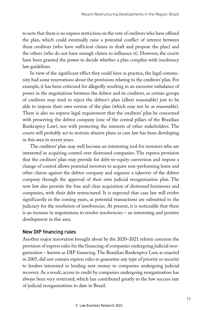to note that there is no express restriction on the vote of creditors who have offered the plan, which could eventually raise a potential conflict of interest between these creditors (who have sufficient claims to draft and propose the plan) and the others (who do not have enough claims to influence it). However, the courts have been granted the power to decide whether a plan complies with insolvency law guidelines.

In view of the significant effect they could have in practice, the legal community had some reservations about the provisions relating to the creditors' plan. For example, it has been criticised for allegedly resulting in an excessive imbalance of power in the negotiations between the debtor and its creditors, as certain groups of creditors may tend to reject the debtor's plan (albeit reasonable) just to be able to impose their own version of the plan (which may not be as reasonable). There is also no express legal requirement that the creditors' plan be concerned with preserving the debtor company (one of the central pillars of the Brazilian Bankruptcy Law), nor with protecting the interests of other stakeholders. The courts will probably act to restrain abusive plans as case law has been developing in this area in recent years.

The creditors' plan may well become an interesting tool for investors who are interested in acquiring control over distressed companies. The express provision that the creditors' plan may provide for debt-to-equity conversion and impose a change of control allows potential investors to acquire non-performing loans and other claims against the debtor company and organise a takeover of the debtor company through the approval of their own judicial reorganisation plan. The new law also permits the free and clear acquisition of distressed businesses and companies, with their debt restructured. It is expected that case law will evolve significantly in the coming years, as potential transactions are submitted to the judiciary for the resolution of insolvencies. At present, it is noticeable that there is an increase in negotiations to resolve insolvencies – an interesting and positive development in this area.

#### New DIP financing rules

Another major innovation brought about by the 2020–2021 reform concerns the provision of express rules for the financing of companies undergoing judicial reorganisation – known as DIP financing. The Brazilian Bankruptcy Law, as enacted in 2005, did not contain express rules to guarantee any type of priority or security to lenders interested in lending new money to companies undergoing judicial recovery. As a result, access to credit by companies undergoing reorganisation has always been very restricted, which has contributed greatly to the low success rate of judicial reorganisations to date in Brazil.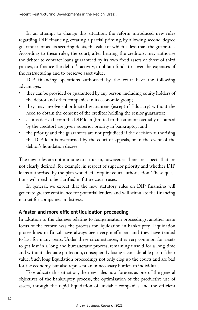In an attempt to change this situation, the reform introduced new rules regarding DIP financing, creating a partial priming, by allowing second-degree guarantees of assets securing debts, the value of which is less than the guarantee. According to these rules, the court, after hearing the creditors, may authorise the debtor to contract loans guaranteed by its own fixed assets or those of third parties, to finance the debtor's activity, to obtain funds to cover the expenses of the restructuring and to preserve asset value.

DIP financing operations authorised by the court have the following advantages:

- they can be provided or guaranteed by any person, including equity holders of the debtor and other companies in its economic group;
- they may involve subordinated guarantees (except if fiduciary) without the need to obtain the consent of the creditor holding the senior guarantee;
- claims derived from the DIP loan (limited to the amounts actually disbursed by the creditor) are given superior priority in bankruptcy; and
- the priority and the guarantees are not prejudiced if the decision authorising the DIP loan is overturned by the court of appeals, or in the event of the debtor's liquidation decree.

The new rules are not immune to criticism, however, as there are aspects that are not clearly defined, for example, in respect of superior priority and whether DIP loans authorised by the plan would still require court authorisation. These questions will need to be clarified in future court cases.

In general, we expect that the new statutory rules on DIP financing will generate greater confidence for potential lenders and will stimulate the financing market for companies in distress.

#### A faster and more efficient liquidation proceeding

In addition to the changes relating to reorganisation proceedings, another main focus of the reform was the process for liquidation in bankruptcy. Liquidation proceedings in Brazil have always been very inefficient and they have tended to last for many years. Under these circumstances, it is very common for assets to get lost in a long and bureaucratic process, remaining unsold for a long time and without adequate protection, consequently losing a considerable part of their value. Such long liquidation proceedings not only clog up the courts and are bad for the economy, but also represent an unnecessary burden to individuals.

To eradicate this situation, the new rules now foresee, as one of the general objectives of the bankruptcy process, the optimisation of the productive use of assets, through the rapid liquidation of unviable companies and the efficient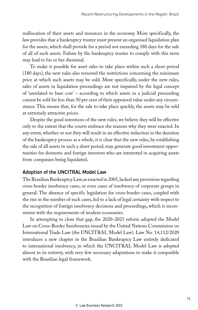reallocation of their assets and resources in the economy. More specifically, the law provides that a bankruptcy trustee must present an organised liquidation plan for the assets, which shall provide for a period not exceeding 180 days for the sale of all of such assets. Failure by the bankruptcy trustee to comply with this term may lead to his or her dismissal.

To make it possible for asset sales to take place within such a short period (180 days), the new rules also removed the restrictions concerning the minimum price at which such assets may be sold. More specifically, under the new rules, sales of assets in liquidation proceedings are not impaired by the legal concept of 'unrelated to base cost' – according to which assets in a judicial proceeding cannot be sold for less than 50 per cent of their appraised value under any circumstance. This means that, for the sale to take place quickly, the assets may be sold at extremely attractive prices.

Despite the good intentions of the new rules, we believe they will be effective only to the extent that the courts embrace the reasons why they were enacted. In any event, whether or not they will result in an effective reduction in the duration of the bankruptcy process as a whole, it is clear that the new rules, by establishing the sale of all assets in such a short period, may generate good investment opportunities for domestic and foreign investors who are interested in acquiring assets from companies being liquidated.

#### Adoption of the UNCITRAL Model Law

The Brazilian Bankruptcy Law, as enacted in 2005, lacked any provisions regarding cross-border insolvency cases, or even cases of insolvency of corporate groups in general. The absence of specific legislation for cross-border cases, coupled with the rise in the number of such cases, led to a lack of legal certainty with respect to the recognition of foreign insolvency decisions and proceedings, which is inconsistent with the requirements of modern economies.

In attempting to close that gap, the 2020–2021 reform adopted the Model Law on Cross-Border Insolvencies issued by the United Nations Commission on International Trade Law (the UNCITRAL Model Law). Law No. 14,112/2020 introduces a new chapter in the Brazilian Bankruptcy Law entirely dedicated to international insolvency, in which the UNCITRAL Model Law is adopted almost in its entirety, with very few necessary adaptations to make it compatible with the Brazilian legal framework.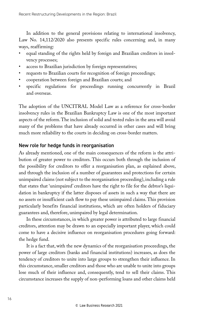In addition to the general provisions relating to international insolvency, Law No. 14,112/2020 also presents specific rules concerning and, in many ways, reaffirming:

- equal standing of the rights held by foreign and Brazilian creditors in insolvency processes;
- access to Brazilian jurisdiction by foreign representatives;
- requests to Brazilian courts for recognition of foreign proceedings;
- cooperation between foreign and Brazilian courts; and
- specific regulations for proceedings running concurrently in Brazil and overseas.

The adoption of the UNCITRAL Model Law as a reference for cross-border insolvency rules in the Brazilian Bankruptcy Law is one of the most important aspects of the reform. The inclusion of solid and tested rules in the area will avoid many of the problems that have already occurred in other cases and will bring much more reliability to the courts in deciding on cross-border matters.

#### New role for hedge funds in reorganisation

As already mentioned, one of the main consequences of the reform is the attribution of greater power to creditors. This occurs both through the inclusion of the possibility for creditors to offer a reorganisation plan, as explained above, and through the inclusion of a number of guarantees and protections for certain unimpaired claims (not subject to the reorganisation proceeding), including a rule that states that 'unimpaired' creditors have the right to file for the debtor's liquidation in bankruptcy if the latter disposes of assets in such a way that there are no assets or insufficient cash flow to pay these unimpaired claims. This provision particularly benefits financial institutions, which are often holders of fiduciary guarantees and, therefore, unimpaired by legal determination.

In these circumstances, in which greater power is attributed to large financial creditors, attention may be drawn to an especially important player, which could come to have a decisive influence on reorganisation procedures going forward: the hedge fund.

It is a fact that, with the new dynamics of the reorganisation proceedings, the power of large creditors (banks and financial institutions) increases, as does the tendency of creditors to unite into large groups to strengthen their influence. In this circumstance, smaller creditors and those who are unable to unite into groups lose much of their influence and, consequently, tend to sell their claims. This circumstance increases the supply of non-performing loans and other claims held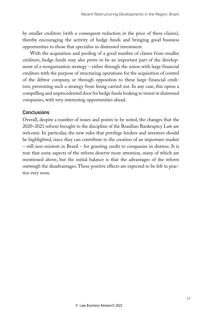by smaller creditors (with a consequent reduction in the price of these claims), thereby encouraging the activity of hedge funds and bringing good business opportunities to those that specialise in distressed investment.

With the acquisition and pooling of a good number of claims from smaller creditors, hedge funds may also prove to be an important part of the development of a reorganisation strategy – either through the union with large financial creditors with the purpose of structuring operations for the acquisition of control of the debtor company, or through opposition to these large financial creditors, preventing such a strategy from being carried out. In any case, this opens a compelling and unprecedented door for hedge funds looking to invest in distressed companies, with very interesting opportunities ahead.

#### **Conclusions**

Overall, despite a number of issues and points to be noted, the changes that the 2020–2021 reform brought to the discipline of the Brazilian Bankruptcy Law are welcome. In particular, the new rules that privilege lenders and investors should be highlighted, since they can contribute to the creation of an important market – still non-existent in Brazil – for granting credit to companies in distress. It is true that some aspects of the reform deserve more attention, many of which are mentioned above, but the initial balance is that the advantages of the reform outweigh the disadvantages. These positive effects are expected to be felt in practice very soon.